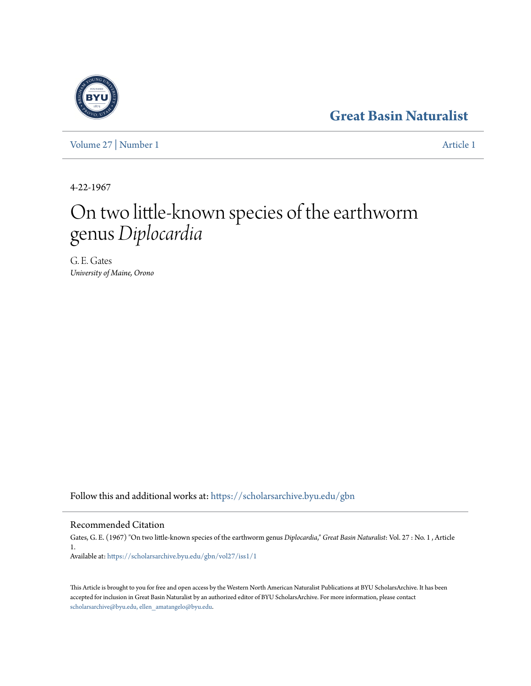### **[Great Basin Naturalist](https://scholarsarchive.byu.edu/gbn?utm_source=scholarsarchive.byu.edu%2Fgbn%2Fvol27%2Fiss1%2F1&utm_medium=PDF&utm_campaign=PDFCoverPages)**

[Volume 27](https://scholarsarchive.byu.edu/gbn/vol27?utm_source=scholarsarchive.byu.edu%2Fgbn%2Fvol27%2Fiss1%2F1&utm_medium=PDF&utm_campaign=PDFCoverPages) | [Number 1](https://scholarsarchive.byu.edu/gbn/vol27/iss1?utm_source=scholarsarchive.byu.edu%2Fgbn%2Fvol27%2Fiss1%2F1&utm_medium=PDF&utm_campaign=PDFCoverPages) [Article 1](https://scholarsarchive.byu.edu/gbn/vol27/iss1/1?utm_source=scholarsarchive.byu.edu%2Fgbn%2Fvol27%2Fiss1%2F1&utm_medium=PDF&utm_campaign=PDFCoverPages)

4-22-1967

# On two little-known species of the earthworm genus *Diplocardia*

G. E. Gates *University of Maine, Orono*

Follow this and additional works at: [https://scholarsarchive.byu.edu/gbn](https://scholarsarchive.byu.edu/gbn?utm_source=scholarsarchive.byu.edu%2Fgbn%2Fvol27%2Fiss1%2F1&utm_medium=PDF&utm_campaign=PDFCoverPages)

### Recommended Citation

Gates, G. E. (1967) "On two little-known species of the earthworm genus *Diplocardia*," *Great Basin Naturalist*: Vol. 27 : No. 1 , Article 1. Available at: [https://scholarsarchive.byu.edu/gbn/vol27/iss1/1](https://scholarsarchive.byu.edu/gbn/vol27/iss1/1?utm_source=scholarsarchive.byu.edu%2Fgbn%2Fvol27%2Fiss1%2F1&utm_medium=PDF&utm_campaign=PDFCoverPages)

This Article is brought to you for free and open access by the Western North American Naturalist Publications at BYU ScholarsArchive. It has been accepted for inclusion in Great Basin Naturalist by an authorized editor of BYU ScholarsArchive. For more information, please contact [scholarsarchive@byu.edu, ellen\\_amatangelo@byu.edu.](mailto:scholarsarchive@byu.edu,%20ellen_amatangelo@byu.edu)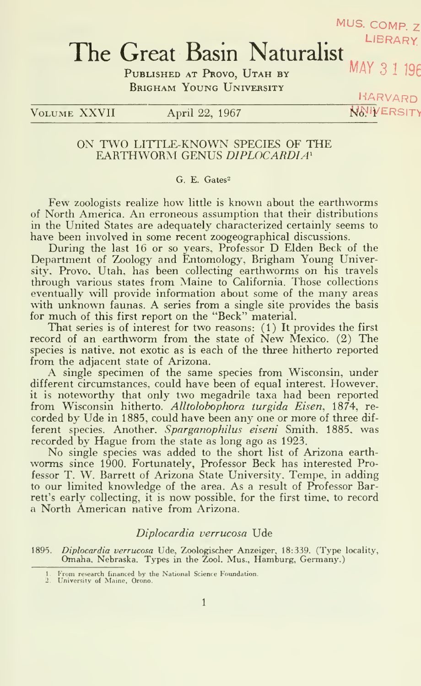## MUS. COMP. Z The Great Basin Naturalist

PUBLISHED AT PROVO, UTAH BY Brigham Young University

 $\rm V_{OLUME}$  XXVII April 22, 1967 W6<sup>J</sup>IYERSITV

HARVARD

#### ON TWO LITTLE-KNOWN SPECIES OF THE EARTHWORM GENUS DIPLOCARDIA'

#### G. E. Gates-

Few zoologists realize how little is known about the earthworms of North America. An erroneous assumption that their distributions in the United States are adequately characterized certainly seems to have been involved in some recent zoogeographical discussions.

During the last <sup>16</sup> or so years, Professor D Elden Beck of the Department of Zoology and Entomology, Brigham Young University. Provo. Utah, has been collecting earthworms on his travels through various states from Maine to California. Those collections eventually will provide information about some of the many areas with unknown faunas. A series from a single site provides the basis for much of this first report on the "Beck" material.

That series is of interest for two reasons: (1) It provides the first record of an earthworm from the state of New Mexico. (2) The species is native, not exotic as is each of the three hitherto reported from the adjacent state of Arizona.

A single specimen of the same species from Wisconsin, under different circumstances, could have been of equal interest. However, it is noteworthy that only two megadrile taxa had been reported from Wisconsin hitherto. Alltolobophora turgida Eisen, 1874, recorded by Ude in 1885, could have been any one or more of three dif ferent species. Another. Sparganophilus eiseni Smith. 1885, was recorded by Hague from the state as long ago as 1923.

No single species was added to the short list of Arizona earth worms since 1900. Fortunately, Professor Beck has interested Professor T. W. Barrett of Arizona State University. Tempe, in adding to our limited knowledge of the area. As a result of Professor Barrett's early collecting, it is now possible, for the first time, to record a North American native from Arizona.

#### Diplocardia verrucosa Ude

1895. Diplocardia verrucosa Ude, Zoologischer Anzeiger, 18:339. (Type locality, Omaha. Nebraska. Types in the Zool. Mus., Hamburg, Germany.)

<sup>1</sup> . I'rom research financed by the National Science Foundation. 1. University of Maine, Orono.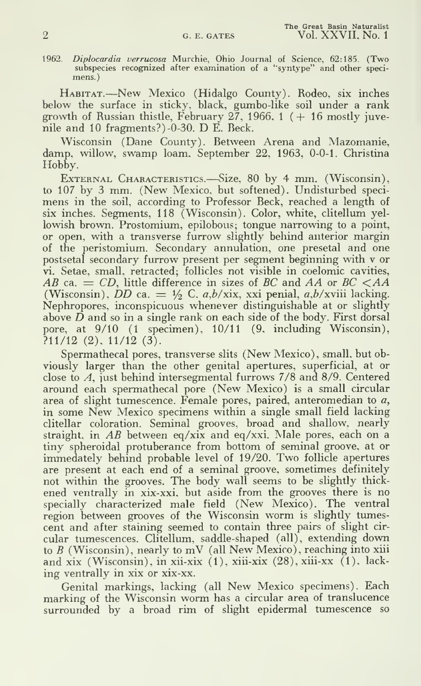1962. Diplocardia verrucosa Murchie, Ohio Journal of Science, 62:185. (Two subspecies recognized after examination of a '"syntype" and other speci mens. )

Habitat.—New Mexico (Hidalgo County). Rodeo, six inches below the surface in sticky, black, gumbo-like soil under a rank growth of Russian thistle, February 27, 1966, 1  $( + 16 \text{ mostly i}$ nile and <sup>10</sup> fragments?) -0-30. D E. Beck.

Wisconsin (Dane County). Between Arena and Mazomanie, damp, willow, swamp loam. September 22, 1963, 0-0-1. Christina Hobby.

External Characteristics.—Size, <sup>80</sup> by <sup>4</sup> mm. (Wisconsin), to 107 by <sup>3</sup> mm. (New Mexico, but softened). Undisturbed speci mens in the soil, according to Professor Beck, reached a length of six inches. Segments, 118 (Wisconsin). Color, white, clitellum yellowish brown. Prostomium, epilobous; tongue narrowing to a point, or open, with a transverse furrow slightly behind anterior margin of the peristomium. Secondary annulation, one presetal and one postsetal secondary furrow present per segment beginning with v or vi. Setae, small, retracted; follicles not visible in coelomic cavities, AB ca.  $=$  CD, little difference in sizes of BC and AA or BC  $\lt A\text{A}$ (Wisconsin),  $\overline{DD}$  ca. =  $\frac{1}{2}$  C. a,b/xix, xxi penial, a,b/xviii lacking. Nephropores, inconspicuous whenever distinguishable at or slightly above  $\overline{D}$  and so in a single rank on each side of the body. First dorsal pore, at 9/10 (1 specimen). 10/11 (9, including Wisconsin),  $?11/12$  (2),  $11/12$  (3).

Spermathecal pores, transverse slits (New Mexico), small, but obviously larger than the other genital apertures, superficial, at or close to A, just behind intersegmental furrows 7/8 and 8/9. Centered around each spermathecal pore (New Mexico) is <sup>a</sup> small circular area of slight tumescence. Female pores, paired, anteromedian to  $a$ , in some New Mexico specimens within <sup>a</sup> single small field lacking clitellar coloration. Seminal grooves, broad and shallow, nearly straight, in AB between eq/xix and eq/xxi. Male pores, each on <sup>a</sup> tiny spheroidal protuberance from bottom of seminal groove, at or immedately behind probable level of 19/20. Two follicle apertures are present at each end of a seminal groove, sometimes definitely not within the grooves. The body wall seems to be slightly thick ened ventrally in xix-xxi, but aside from the grooves there is no specially characterized male field (New Mexico). The ventral region between grooves of the Wisconsin worm is slightly tumescent and after staining seemed to contain three pairs of slight cir cular tumescences. Clitellum, saddle-shaped (all), extending down to  $B$  (Wisconsin), nearly to mV (all New Mexico), reaching into xiii and xix (Wisconsin), in xii-xix (1), xiii-xix (28),xiii-xx (1), lack ing ventrally in xix or xix-xx.

Genital markings, lacking (all New Mexico specimens). Each marking of the Wisconsin worm has <sup>a</sup> circular area of translucence surrounded by a broad rim of slight epidermal tumescence so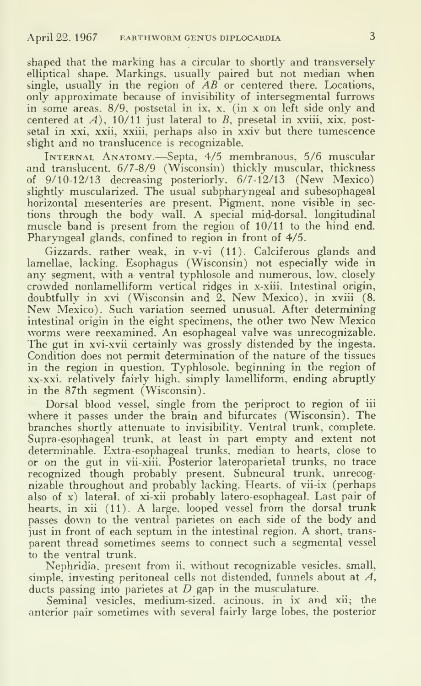shaped that the marking has a circular to shortly and transversely elliptical shape. Markings, usually paired but not median when single, usually in the region of  $\overline{AB}$  or centered there. Locations, only approximate because of invisibility of intersegmental furrows in some areas. 8/9, postsetal in ix, x. (in x on left side only and centered at  $A$ ), 10/11 just lateral to  $B$ , presetal in xviii, xix, postsetal in xxi, xxii, xxiii, perhaps also in xxiv but there tumescence slight and no translucence is recognizable.

Internal Anatomy.—Septa, 4/5 membranous, 5/6 muscular and translucent, 6/7-8/9 (Wisconsin) thickly muscular, thickness of  $9/10-12/13$  decreasing posteriorly,  $6/7-12/13$  (New Mexico) slightly muscularized. The usual subpharyngeal and subesophageal horizontal mesenteries are present. Pigment, none visible in sec tions through the body wall. A special mid-dorsal, longitudinal muscle band is present from the region of 10/11 to the hind end. Pharyngeal glands, confined to region in front of 4/5.

Gizzards, rather weak, in v-vi (11). Calciferous glands and lamellae, lacking. Esophagus (Wisconsin) not especially wide in any segment, with a ventral typhlosole and numerous, low, closely crowded nonlamelliform vertical ridges in x-xiii. Intestinal origin, New Mexico). Such variation seemed unusual. After determining intestinal origin in the eight specimens, the other two New Mexico worms were reexamined. An esophageal valve was unrecognizable. The gut in xvi-xvii certainly was grossly distended by the ingesta. Condition does not permit determination of the nature of the tissues in the region in question. Typhlosole, beginning in the region of xx-xxi. relatively fairly high, simply lamelliform, ending abruptly in the 87th segment (Wisconsin).

Dorsal blood vessel, single from the periproct to region of iii where it passes under the brain and bifurcates (Wisconsin). The branches shortly attenuate to invisibility. Ventral trunk, complete. Supra -esophageal trunk, at least in part empty and extent not determinable. Extra -esophageal trunks, median to hearts, close to or on the gut in vii-xiii. Posterior lateroparietal trunks, no trace recognized though probably present. Subneural trunk, unrecognizable throughout and probably lacking. Hearts, of vii-ix (perhaps also of x) lateral, of xi-xii probably latero-esophageal. Last pair of hearts, in xii (11). A large, looped vessel from the dorsal trunk passes down to the ventral parietes on each side of the body and just in front of each septum in the intestinal region. A short, trans parent thread sometimes seems to connect such a segmental vessel to the ventral trunk.

Nephridia, present from ii, without recognizable vesicles, small, simple, investing peritoneal cells not distended, funnels about at A, ducts passing into parietes at  $D$  gap in the musculature.

Seminal vesicles, medium-sized, acinous, in ix and xii; the anterior pair sometimes with several fairly large lobes, the posterior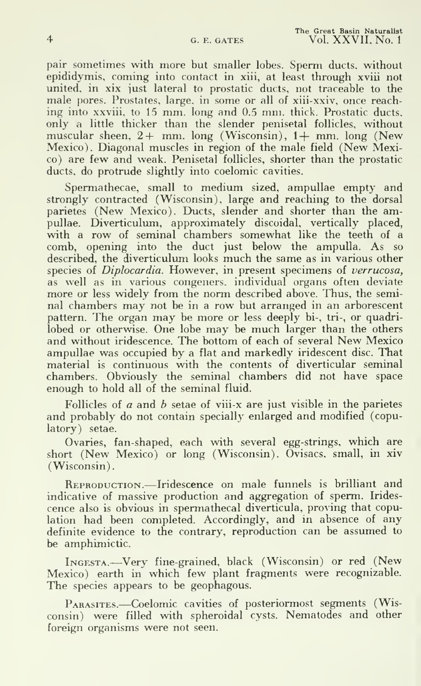pair sometimes with more but smaller lobes. Sperm ducts, without epididymis, coming into contact in xiii, at least through xviii not united, in xix just lateral to prostatic ducts, not traceable to the male pores. Prostates, large, in some or all of xiii-xxiv, once reaching into xxviii, to <sup>15</sup> mm. long and 0.5 mm. thick. Prostatic ducts, only a little thicker than the slender penisetal follicles, without muscular sheen,  $2+$  mm. long (Wisconsin),  $1+$  mm. long (New Mexico). Diagonal muscles in region of the male field (New Mexico) are few and weak. Penisetal follicles, shorter than the prostatic ducts, do protrude slightly into coelomic cavities.

Spermathecae, small to medium sized, ampullae empty and strongly contracted (Wisconsin), large and reaching to the dorsal parietes (New Mexico). Ducts, slender and shorter than the ampullae. Diverticulum, approximately discoidal, vertically placed, with a row of seminal chambers somewhat like the teeth of a comb, opening into the duct just below the ampulla. As so described, the diverticulum looks much the same as in various other species of Diplocardia. However, in present specimens of verrucosa, as well as in various congeners, individual organs often deviate more or less widely from the norm described above. Thus, the seminal chambers may not be in <sup>a</sup> row but arranged in an arborescent pattern. The organ may be more or less deeply bi-, tri-, or quadrilobed or otherwise. One lobe may be much larger than the others and without iridescence. The bottom of each of several New Mexico ampullae was occupied by a flat and markedly iridescent disc. That material is continuous with the contents of diverticular seminal chambers. Obviously the seminal chambers did not have space enough to hold all of the seminal fluid.

Follicles of  $a$  and  $b$  setae of viii-x are just visible in the parietes and probably do not contain specially enlarged and modified ( copulatory) setae.

Ovaries, fan-shaped, each with several egg-strings, which are short (New Mexico) or long (Wisconsin). Ovisacs, small, in xiv (Wisconsin).

REPRODUCTION.—Iridescence on male funnels is brilliant and indicative of massive production and aggregation of sperm. Irides cence also is obvious in spermathecal diverticula, proving that copulation had been completed. Accordingly, and in absence of any definite evidence to the contrary, reproduction can be assumed to be amphimictic.

Ingesta.—Very fine-grained, black (Wisconsin) or red (New Mexico) earth in which few plant fragments were recognizable. The species appears to be geophagous.

Parasites.—Coelomic cavities of posteriormost segments (Wisconsin) were filled with spheroidal cysts. Nematodes and other foreign organisms were not seen.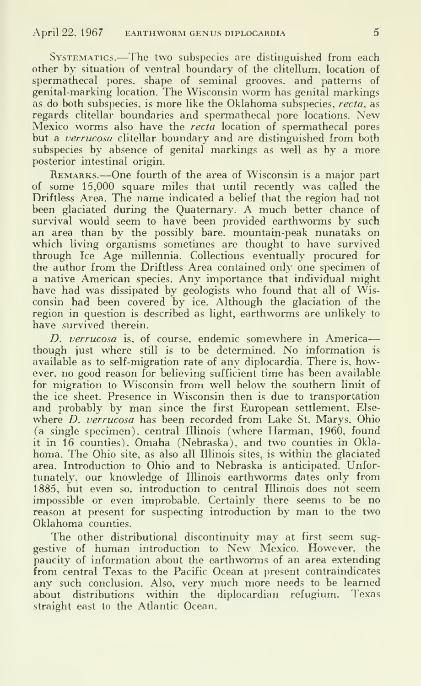Systematics.—The two subspecies are distinguished from each other by situation of ventral boundary of the clitellum, location of spermathecal pores, shape of seminal grooves, and patterns of genital-marking location. The Wisconsin worm has genital markings as do both subspecies, is more like the Oklahoma subspecies, recta, as regards clitellar boundaries and spermathecal pore locations. New Mexico worms also have the *recta* location of spermathecal pores but a *verrucosa* clitellar boundary and are distinguished from both subspecies by absence of genital markings as well as by a more posterior intestinal origin.

REMARKS.—One fourth of the area of Wisconsin is a major part of some 15,000 square miles that until recently was called the Driftless Area. The name indicated a belief that the region had not been glaciated during the Quaternary. A much better chance of survival would seem to have been provided earthworms by such an area than by the possibly bare. mountain-peak nunataks on which living organisms sometimes are thought to have survived through Ice Age millennia. Collections eventually procured for the author from the Driftless Area contained only one specimen of <sup>a</sup> native American species. Any importance that individual might have had was dissipated by geologists who found that all of Wisconsin had been covered by ice. Although the glaciation of the region in question is described as light, earthworms are unlikely to have survived therein.

D. verrucosa is. of course, endemic somewhere in America though iust where still is to be determined. No information is available as to self-migration rate of any diplocardia. There is, however, no good reason for believing sufficient time has been available for migration to Wisconsin from well below the southern limit of the ice sheet. Presence in Wisconsin then is due to transportation and probably by man since the first European settlement. Else where *D. verrucosa* has been recorded from Lake St. Marys, Ohio (a single specimen), central Illinois (where Harman. 1960. found it in 16 counties), Omaha (Nebraska), and two counties in Oklahoma. The Ohio site, as also all Illinois sites, is within the glaciated area. Introduction to Ohio and to Nebraska is anticipated. Unfortunately, our knowledge of Illinois earthworms dates only from 1885, but even so. introduction to central Illinois does not seem impossible or even improbable. Certainly there seems to be no reason at present for suspecting introduction by man to the two Oklahoma counties.

The other distributional discontinuity may at first seem suggestive of human introduction to New Mexico. However, the paucity of information about the earthworms of an area extending from central Texas to the Pacific Ocean at present contraindicates any such conclusion. Also, very much more needs to be learned about distributions within the diplocardian refugium. Texas straight east to the Atlantic Ocean.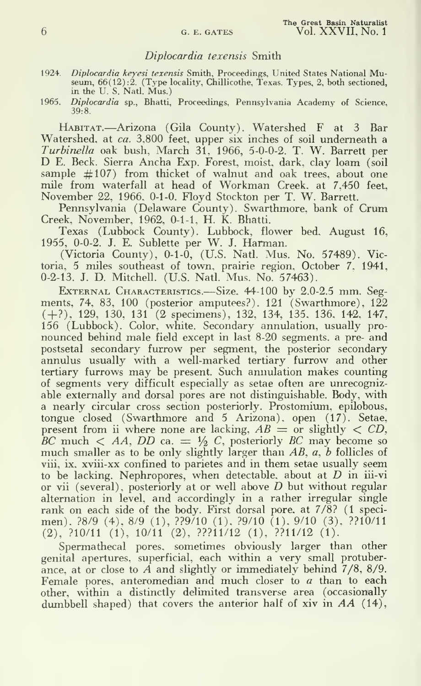#### Diplocardia texensis Smith

- 1924. Diplocardia keyesi texensis Smith, Proceedings, United States National Museum, 66(12):2. (Type locality, Chillicothe, Texas. Types, 2, both sectioned, in the U. S. Natl. Mus.)
- 1965. *Diplocardia* sp., Bhatti, Proceedings, Pennsylvania Academy of Science, 39:8.

Habitat.—Arizona (Gila County). Watershed <sup>F</sup> at <sup>3</sup> Bar Watershed, at ca. 3,800 feet, upper six inches of soil underneath a Turbinella oak bush, March 31, 1966, 5-0-0-2. T. W. Barrett per D E. Beck. Sierra Ancha Exp. Forest, moist, dark, clay loam (soil sample  $\#107$ ) from thicket of walnut and oak trees, about one mile from waterfall at head of Workman Creek, at 7,450 feet, November 22, 1966, 0-1-0. Floyd Stockton per T. W. Barrett.

Pennsylvania (Delaware County). Swarthmore, bank of Crum Creek, November, 1962, 0-1-1. H. K. Bhatti.

Texas (Lubbock County). Lubbock, flower bed. August 16, 1955, 0-0-2. J. E. Sublette per W. J. Harman.

(Victoria County), 0-1-0, (U.S. Natl. Mus. No. 57489). Victoria, 5 miles southeast of town, prairie region, October 7. 1941, 0-2-13. J. D. Mitchell. (U.S. Natl. Mus. No. 57463).

EXTERNAL CHARACTERISTICS.—Size. 44-100 by 2.0-2.5 mm. Segments, 74, 83, 100 (posterior amputees?). 121 (Swarthmore),  $122$ ( +?), 129, 130, <sup>131</sup> (2 specimens), 132, 134, 135. 136. 142, 147, 156 (Lubbock). Color, white. Secondary annulation, usually pro nounced behind male field except in last 8-20 segments, a pre- and postsetal secondary furrow per segment, the posterior secondary annulus usually with a well-marked tertiary furrow and other tertiary furrows may be present. Such annulation makes counting of segments very difficult especially as setae often are unrecognizable externally and dorsal pores are not distinguishable. Body, with a nearly circular cross section posteriorly. Prostomium, epilobous, tongue closed (Swarthmore and 5 Arizona), open (17). Setae, present from ii where none are lacking,  $AB =$  or slightly  $\langle CD,$ BC much  $\lt A A$ , DD ca.  $\equiv \frac{1}{2} C$ , posteriorly BC may become so much smaller as to be only slightly larger than AB, a, b follicles of viii, ix, xviii-xx confined to parietes and in them setae usually seem to be lacking. Nephropores, when detectable, about at  $D$  in iii-vi or vii (several), posteriorly at or well above  $D$  but without regular alternation in level, and accordingly in a rather irregular single rank on each side of the body. First dorsal pore, at 7/8? (1 specimen), ?8/9 (4). 8/9 (1), ??9/10 (1). ?9/10 (1). 9/10 (3), ??10/11 (2), ?10/11 (1), 10/11 (2), ???11/12 (1), ??11/12 (1).

Spermathecal pores, sometimes obviously larger than other genital apertures, superficial, each within a very small protuberance, at or close to A and slightly or immediately behind 7/8, 8/9. Female pores, anteromedian and much closer to  $a$  than to each other, within a distinctly delimited transverse area (occasionally dumbbell shaped) that covers the anterior half of xiv in  $AA$  (14),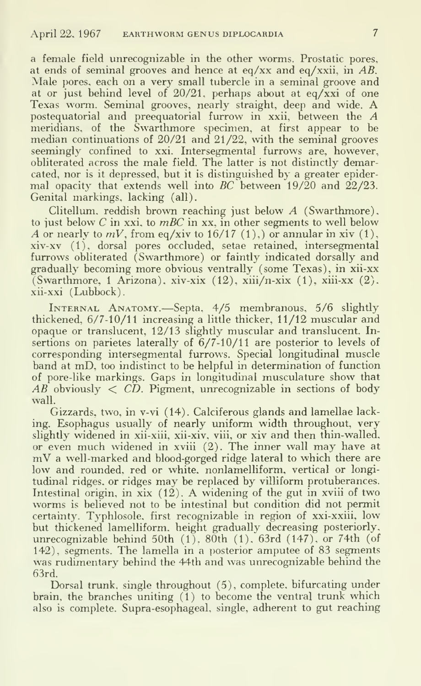a female field unrecognizable in the other worms. Prostatic pores, at ends of seminal grooves and hence at eq/xx and eq/xxii, in  $AB$ . Male pores, each on <sup>a</sup> very small tubercle in a seminal groove and at or just behind level of  $20/21$ , perhaps about at eq/xxi of one Texas worm. Seminal grooves, nearly straight, deep and wide. A postequatorial and preequatorial furrow in xxii, between the A meridians, of the Swarthmore specimen, at first appear to be median continuations of 20/21 and 21/22, with the seminal grooves seemingly confined to xxi. Intersegmental furrows are, however, obliterated across the male field. The latter is not distinctly demarcated, nor is it depressed, but it is distinguished by a greater epidermal opacity that extends well into BC between 19/20 and  $22/23$ . Genital markings, lacking (all).

Clitellum. reddish brown reaching just below A (Swarthmore), to just below C in xxi, to  $mBC$  in xx, in other segments to well below A or nearly to  $mV$ , from eq/xiv to 16/17 (1), or annular in xiv (1), xiv-xv (1), dorsal pores occluded, setae retained, intersegmental furrows obliterated (Swarthmore) or faintly indicated dorsally and gradually becoming more obvious ventrally (some Texas), in xii-xx (Swarthmore, 1 Arizona), xiv-xix  $(12)$ , xiii/n-xix  $(1)$ , xiii-xx  $(2)$ . xii-xxi (Lubbock).

Internal Anatomy.—Septa, 4/5 membranous. 5/6 slightly thickened, 6/7-10/11 increasing a little thicker, 11/12 muscular and opaque or translucent, 12/13 slightly muscular and translucent. Insertions on parietes laterally of 6/7-10/11 are posterior to levels of corresponding intersegmental furrows. Special longitudinal muscle band at mD. too indistinct to be helpful in determination of function of pore-like markings. Gaps in longitudinal musculature show that  $AB$  obviously  $\langle CD$ . Pigment, unrecognizable in sections of body wall.

Gizzards, two, in v-vi (14). Calciferous glands and lamellae lacking. Esophagus usually of nearly uniform width throughout, very slightly widened in xii-xiii, xii-xiv, viii, or xiv and then thin-walled, or even much widened in xviii (2). The inner wall may have at  $mV$  a well-marked and blood-gorged ridge lateral to which there are low and rounded, red or white, nonlamelliform, vertical or longitudinal ridges, or ridges may be replaced by villiform protuberances. Intestinal origin, in  $\overline{xx}$  (12). A widening of the gut in xviii of two worms is believed not to be intestinal but condition did not permit certainty. Typhlosole. first recognizable in region of xxi-xxiii, low but thickened lamelliform. height gradually decreasing posteriorly, unrecognizable behind 50th (1). 80th (1). 63rd (147), or 74th (of 142), segments. The lamella in a posterior amputee of 83 segments was rudimentarv behind the 44th and was unrecognizable behind the 63rd.

Dorsal trunk, single throughout (5), complete, bifurcating under brain, the branches uniting (1) to become the ventral trunk which also is complete. Supra-esophageal, single, adherent to gut reaching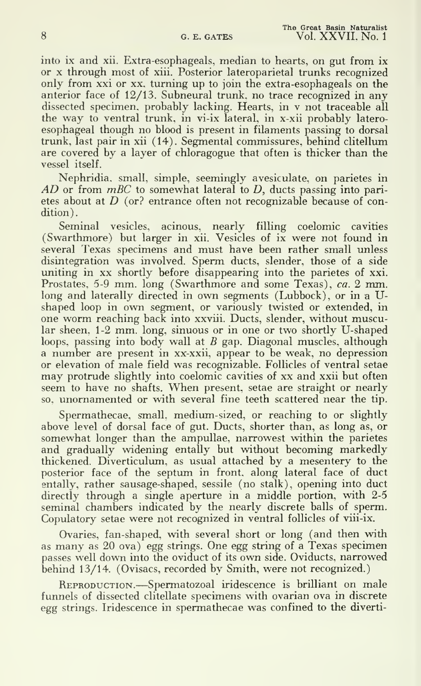into ix and xii. Extra-esophageals, median to hearts, on gut from ix or X through most of xiii. Posterior lateroparietal trunks recognized only from xxi or xx, turning up to join the extra-esophageals on the anterior face of 12/13. Subneural trunk, no trace recognized in any dissected specimen, probably lacking. Hearts, in v not traceable all the way to ventral trunk, in vi-ix lateral, in x-xii probably latero esophageal though no blood is present in filaments passing to dorsal trunk, last pair in xii (14). Segmental commissures, behind clitellum are covered by a layer of chloragogue that often is thicker than the vessel itself.

Nephridia. small, simple, seemingly avesiculate, on parietes in  $AD$  or from  $mBC$  to somewhat lateral to  $D$ , ducts passing into parietes about at  $D$  (or? entrance often not recognizable because of condition).

Seminal vesicles, acinous, nearly filling coelomic cavities (Swarthmore) but larger in xii. Vesicles of ix were not found in several Texas specimens and must have been rather small unless disintegration was involved. Sperm ducts, slender, those of a side uniting in xx shortly before disappearing into the parietes of xxi. Prostates, 5-9 mm. long (Swarthmore and some Texas), ca. 2 mm. long and laterally directed in own segments (Lubbock), or in a Ushaped loop in own segment, or variously twisted or extended, in one worm reaching back into xxviii. Ducts, slender, without muscular sheen, 1-2 mm. long, sinuous or in one or two shortly U-shaped loops, passing into body wall at  $B$  gap. Diagonal muscles, although a number are present in xx-xxii. appear to be weak, no depression may protrude slightly into coelomic cavities of xx and xxii but often seem to have no shafts. When present, setae are straight or nearly so, unornamented or with several fine teeth scattered near the tip.

Spermathecae, small, medium-sized, or reaching to or slightly above level of dorsal face of gut. Ducts, shorter than, as long as, or somewhat longer than the ampullae, narrowest within the parietes and gradually widening entally but without becoming markedly thickened. Diverticulum, as usual attached by a mesentery to the posterior face of the septum in front, along lateral face of duct entally, rather sausage-shaped, sessile (no stalk), opening into duct directly through a single aperture in a middle portion, with 2-5 seminal chambers indicated by the nearly discrete balls of sperm. Copulatory setae were not recognized in ventral follicles of viii-ix.

Ovaries, fan-shaped, with several short or long (and then with as many as 20 ova) egg strings. One egg string of <sup>a</sup> Texas specimen passes well down into the oviduct of its own side. Oviducts, narrowed behind 13/14. (Ovisacs, recorded by Smith, were not recognized.)

REPRODUCTION.—Spermatozoal iridescence is brilliant on male funnels of dissected clitellate specimens with ovarian ova in discrete egg strings. Iridescence in spermathecae was confined to the diverti-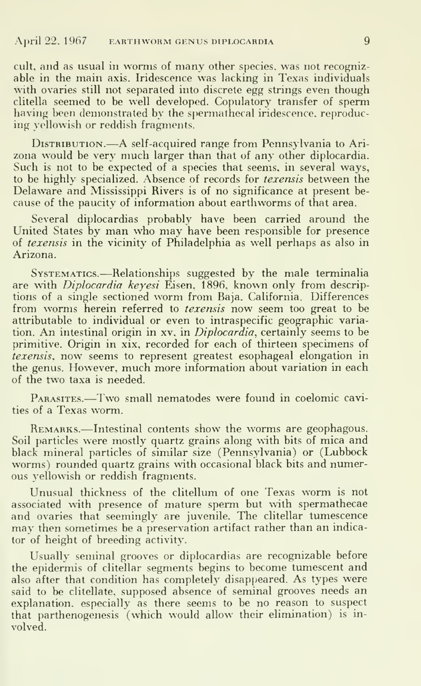cult, and as usual in worms of many other species, was not recognizable in the main axis. Iridescence was lacking in Texas individuals with ovaries still not separated into discrete egg strings even though clitella seemed to be well developed. Copulatory transfer of sperm having been demonstrated by the spermathecal iridescence, reproducing yellowish or reddish fragments.

Distribution.—<sup>A</sup> self-acquired range from Pennsylvania to Ari- zona would be very much larger than that of any other diplocardia. Such is not to be expected of a species that seems, in several ways, to be highly specialized. Absence of records for texensis between the Delaware and Mississippi Rivers is of no significance at present be cause of the paucity of information about earthworms of that area.

Several diplocardias probably have been carried around the United States by man who may have been responsible for presence of texensis in the vicinity of Philadelphia as well perhaps as also in Arizona.

Systematics.—Relationships suggested by the male terminalia are with *Diplocardia keyesi* Eisen, 1896, known only from descriptions of <sup>a</sup> single sectioned worm from Baja. California. Differences from worms herein referred to *texensis* now seem too great to be attributable to individual or even to intraspecific geographic variation. An intestinal origin in xv. in Diplocardia, certainly seems to be primitive. Origin in xix, recorded for each of thirteen specimens of texensis, now seems to represent greatest esophageal elongation in the genus. However, much more information about variation in each of the two taxa is needed.

PARASITES.—Two small nematodes were found in coelomic cavities of a Texas worm.

REMARKS.—Intestinal contents show the worms are geophagous. Soil particles were mostly quartz grains along with bits of mica and black mineral particles of similar size (Pennsylvania) or (Lubbock worms) rounded quartz grains with occasional black bits and numerous yellowish or reddish fragments.

Unusual thickness of the clitellum of one Texas worm is not associated with presence of mature sperm but with spermathecae and ovaries that seemingly are juvenile. The clitellar tumescence may then sometimes be <sup>a</sup> preservation artifact rather than an indicator of height of breeding activity.

Usually seminal grooves or diplocardias are recognizable before the epidermis of clitellar segments begins to become tumescent and also after that condition has completely disappeared. As types were said to be clitellate, supposed absence of seminal grooves needs an explanation, especially as there seems to be no reason to suspect that parthenogenesis (which would allow their elimination) is in volved.